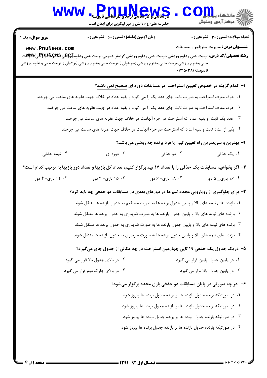# حضرت علي(ع): دانش راهبر نيكويي براي ايمان است كارشناسي و كارشناسي ارشد و كارشناسي ناپيوسته نعداد سوالات : تستي : 30 - تشريحي : . زمان آزمون (دقيقه) : تستي : 60 - تشريحي : . سري سوال : يک 1 WWW.PnuWew.Mexical COM

**[www.PnuNews.com](http://pnunews.com)**

**رشته تحصیلی/کد درس:** تربیت بدنی وعلوم ورزشی.،تربیت بدنی وعلوم ورزشی گرایش عمومی،تربیت بدنی وعلوم**£1355ع @WEXHR&ي W**Wيت بدنی وعلوم ورزشی،تربیت بدنی وعلوم ورزشی (خواهران )،تربیت بدنی وعلوم ورزشی (برادران )،تربیت بدنی و علوم ورزشی نايبوسته) ١٢١۵٠٣٨)

## ا– کدام گزینه در خصوص تعیین استراحت در مسابقات دوره ای صحیح نمی باشد؟ ا . حرف معرف استراحت به صورت ثابت جاى عدد يک را مى گيرد و بقيه اعداد در خلاف جهت عقربه هاى ساعت مى چرخند

- - ۲ . حرف معرف استراحت به صورت ثابت جای عدد یک را می گیرد و بقیه اعداد در جهت عقربه های ساعت می چرخند
		- ۰۳ عدد یک ثابت و بقیه اعداد که استراحت هم جزء آنهاست در خلاف جهت عقربه های ساعت می چرخند »
		- ۴ . یکی از اعداد ثابت و بقیه اعداد که استراحت هم جزء آنهاست در خلاف جهت عقربه های ساعت می چرخند

۲- بهترین و سریعترین راه تعیین تیم ِ یا فرد برنده چه روشی می باشد؟

**عنـــوان درس:** مدیریت وطرزاجرای مسابقات

- ۰۳ دوره ای مسلم است. ۴۰ نیمه حذفی **۴**۰ نیمه حذفی ۴۰ نیمه است. ۰۱ یک حذفی ۰۲ دو حذفی
- ۳- اگر بخواهیم مسابقات یک حذفی را با تعداد ۱۷ تیم برگزار کنیم، تعداد کل بازیها و تعداد دور بازیها به ترتیب کدام است؟
	- ۰۱ ج۱ بازی\_ ۵ دور ۱۸۰ ۰۲ بازی ۶ دور ۲۰۰ تا ۱۵۰ ۲ بازی ۳ دور ۱۴۰ ۴۰ ۰ بازی ۴ دور ۰۴ بازی ۵ دور ۲۰۰ میلادی - ۶ دور ۲۰۰ میلادی - ۲۰ دور ۴۰۰ دور ۴۰۰ میلادی ته ۴۰۰ میلادی ته ۴۰۰ میلادی ته ۴۰۰ میل

### ۴- برای جلوگیری از رویارویی مجدد تیم ها در دورهای بعدی در مسابقات دو حذفی چه باید کرد؟

ا . بازنده های نیمه های بالا و پایین جدول برنده ها به صورت مستقیم به جدول بازنده ها منتقل شوند ۰۲ بازنده های نیمه های بالا و پایین جدول بازنده ها به صورت ضربدری به جدول برنده ها منتقل شوند ۰۳ برنده های نیمه های بالا و پایین جدول بازنده ها به صورت ضربدری به جدول برنده ها منتقل شوند

۴ . بازنده های نیمه های بالا و پایین جدول برنده ها به صورت ضربدری به جدول بازنده ها منتقل شوند

## ۵– دریک جدول یک حذفی ۱۹ تایی چهارمین استراحت در چه مکانی از جدول جای میگیرد؟

- C A = 
A C ?@ = ?@ ' . .
- ۰۴ در بالای چارک دوم قرار می گیرد / . . .

#### ۶– در چه صورتی در پایان مسابقات دو حذفی بازی مجدد برگزار میشود؟

- 1. در صورتیکه برنده جدول بازنده ها بر برنده جدول برنده ها پیروز شود
- ۰۲ در صورتیکه برنده جدول بازنده ها بر بازنده جدول برنده ها پیروز شود
- ۰۳ در صورتیکه بازنده جدول برنده ها بر برنده جدول برنده ها پیروز شود**»**
- ۰۴ در صورتیکه بازنده جدول بازنده ها بر بازنده جدول برنده ها پیروز شود**؟**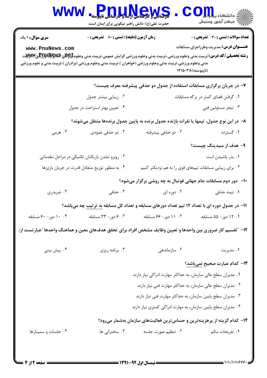|                                                                                                                                                                                                                                                                                                         | <mark>ەرمىلىكى ئىرىشاسى باشتا و ئاراشاش</mark> ى ئاپي <mark>و</mark> ستە<br>حضرت علی(ع): دانش راهبر نیکویی برای ایمان است |                                                                | د دانشگاه پ <b>یاج ت<mark>و</mark>ر</b><br>رِ که مرڪز آزمون وسنڊش                             |  |  |
|---------------------------------------------------------------------------------------------------------------------------------------------------------------------------------------------------------------------------------------------------------------------------------------------------------|---------------------------------------------------------------------------------------------------------------------------|----------------------------------------------------------------|-----------------------------------------------------------------------------------------------|--|--|
| <b>سری سوال : ۱ یک</b><br>www.PnuNews.com<br><b>رشته تحصیلی/کد درس:</b> تربیت بدنی وعلوم ورزشی.،تربیت بدنی وعلوم ورزشی گرایش عمومی،تربیت بدنی وعلوم <del>[9] RJYWِ</del> ی@WRلاللار&RپW<br>بدنی وعلوم ورزشی،تربیت بدنی وعلوم ورزشی (خواهران )،تربیت بدنی وعلوم ورزشی (برادران )،تربیت بدنی و علوم ورزشی | <b>زمان آزمون (دقیقه) : تستی : 60 ٪ تشریحی : 0</b>                                                                        | (ناپیوسته) ۱۲۱۵۰۳۸                                             | <b>تعداد سوالات : تستی : 30 ٪ تشریحی : 0</b><br><b>عنـــوان درس:</b> مدیریت وطرزاجرای مسابقات |  |  |
| ۷- در جریان برگزاری مسابقات استفاده از جدول دو حذفی پیشرفته معرف چیست؟                                                                                                                                                                                                                                  |                                                                                                                           |                                                                |                                                                                               |  |  |
|                                                                                                                                                                                                                                                                                                         | ۰۲ زیبایی بیشتر جدول                                                                                                      |                                                                | ۰۱ گرفتن فضای کمتر در برگه مسابقات                                                            |  |  |
|                                                                                                                                                                                                                                                                                                         | ۰۴ تعیین بهتر استراحت در جدول                                                                                             |                                                                | ۰۳ تبحر مسئولين فني                                                                           |  |  |
| ۸– در این نوع جدول، تیمها یا نفرات بازنده جدول برنده به پایین جدول برندهها منتقل میشوند؟                                                                                                                                                                                                                |                                                                                                                           |                                                                |                                                                                               |  |  |
| ۰۴ هرمی                                                                                                                                                                                                                                                                                                 | ۰۳ دو حذفی عمودی                                                                                                          | ۰۲ دو حذفی پیشرفته                                             | ۰۱ گسترده                                                                                     |  |  |
|                                                                                                                                                                                                                                                                                                         |                                                                                                                           |                                                                | ۹- هدف از سیدینگ چیست؟                                                                        |  |  |
| ۰۲ روبرو نشدن بازیکنان تکنیکی در مراحل مقدماتی                                                                                                                                                                                                                                                          |                                                                                                                           |                                                                | ٠١. بذر پاشيدن است                                                                            |  |  |
| ۰۴ به منظور توزیع متعادل قدرت در جریان بازیها                                                                                                                                                                                                                                                           |                                                                                                                           | ۰۳ برای زیبایی مسابقات تیمهای قوی را به هم نزدیکتر کنیم        |                                                                                               |  |  |
|                                                                                                                                                                                                                                                                                                         |                                                                                                                           | ۱۰-۔ دور دوم مسابقات جام جهانی فوتبال به چه روشی برگزار میشود؟ |                                                                                               |  |  |
| ۰۴ ضربدری                                                                                                                                                                                                                                                                                               | ۰۳ حذفی                                                                                                                   | ۰۲ دوره ای                                                     | ۰۱ نیمه حذفی                                                                                  |  |  |
| <b>۱۱- در جدول دوره ای با تعداد ۱۲ تیم تعداد دورهای مسابقه و تعداد کل مسابقه <u>به ترتیب</u> چه میباشد؟</b>                                                                                                                                                                                             |                                                                                                                           |                                                                |                                                                                               |  |  |
| ۰۴ ۱۰ دور- ۶۰ مسابقه                                                                                                                                                                                                                                                                                    | ۰۳ ور- ۳۳ مسابقه                                                                                                          | ۰۲ - ۱۱ دور- ۶۶ مسابقه                                         | ٠١. ١٢ دور- ۵۵ مسابقه                                                                         |  |  |
| ۱۲– "تقسیم کار ضروری بین واحدها و تعیین وظایف مشخص افراد برای تحقق هدفهای معین و هماهنگ واحدها "عبار تست از:                                                                                                                                                                                            |                                                                                                                           |                                                                |                                                                                               |  |  |
| ۰۴ پیش بینی                                                                                                                                                                                                                                                                                             | ۰۳ برنامه ریزی                                                                                                            | ۰۲ سازماندهی                                                   | ۰۱ مدیریت                                                                                     |  |  |
|                                                                                                                                                                                                                                                                                                         |                                                                                                                           |                                                                | ۱۳- کدام عبارت صحیح <u>نمیباشد</u> ؟                                                          |  |  |
| ۰۱ مدیران سطح عالی سازمان، به حداکثر مهارت ادراکی نیاز دارند                                                                                                                                                                                                                                            |                                                                                                                           |                                                                |                                                                                               |  |  |
| ۰۲ مدیران سطح عالی سازمان، به حداکثر مهارت فنی نیاز دارند                                                                                                                                                                                                                                               |                                                                                                                           |                                                                |                                                                                               |  |  |
| ۰۳ مدیران سطح پایین سازمان، به حداکثر مهارت فنی نیاز دارند                                                                                                                                                                                                                                              |                                                                                                                           |                                                                |                                                                                               |  |  |
| ۰۴ مدیران سطح پایین سازمان، به مهارت ادراکی کمتری نیاز دارند                                                                                                                                                                                                                                            |                                                                                                                           |                                                                |                                                                                               |  |  |
| ۱۴- کدام گزینه از پرهزینهترین و حساسترین فعالیتهای سازمان بهشمار میرود؟                                                                                                                                                                                                                                 |                                                                                                                           |                                                                |                                                                                               |  |  |
| ۰۴ جلسات و سمینارها                                                                                                                                                                                                                                                                                     | ۰۳ سخنرانی ها                                                                                                             | ٢. تنظيم صورت جلسه                                             | ٠١. تفريحات سالم                                                                              |  |  |
|                                                                                                                                                                                                                                                                                                         |                                                                                                                           |                                                                |                                                                                               |  |  |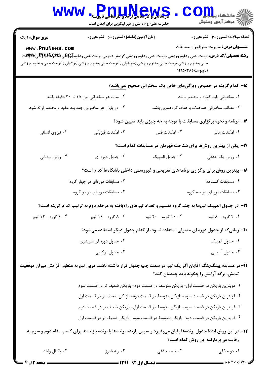| <b>WWW</b>                                                                                                                                              | <b>Pnu,u,News</b><br>حضرت علی(ع): دانش راهبر نیکویی برای ایمان است                                                                                                                                                                                                                                                      |                                                                                   | د دانشکاه پیا <mark>م</mark> او <mark>ر</mark><br>أأآت مرکز آزمون وسنجش                       |  |  |
|---------------------------------------------------------------------------------------------------------------------------------------------------------|-------------------------------------------------------------------------------------------------------------------------------------------------------------------------------------------------------------------------------------------------------------------------------------------------------------------------|-----------------------------------------------------------------------------------|-----------------------------------------------------------------------------------------------|--|--|
| <b>سری سوال : ۱ یک</b><br>www.PnuNews.com                                                                                                               | <b>زمان آزمون (دقیقه) : تستی : 60 ٪ تشریحی : 0</b><br><b>رشته تحصیلی/کد درس:</b> تربیت بدنی وعلوم ورزشی.،تربیت بدنی وعلوم ورزشی گرایش عمومی،تربیت بدنی وعلوم <del>[9] R&amp;</del> و P#R&R&لالورF& و W؟<br>بدنی وعلوم ورزشی،تربیت بدنی وعلوم ورزشی (خواهران )،تربیت بدنی وعلوم ورزشی (برادران )،تربیت بدنی و علوم ورزشی | (ناپیوسته) ۱۲۱۵۰۳۸                                                                | <b>تعداد سوالات : تستي : 30 ٪ تشريحي : 0</b><br><b>عنـــوان درس:</b> مدیریت وطرزاجرای مسابقات |  |  |
|                                                                                                                                                         |                                                                                                                                                                                                                                                                                                                         | ۱۵- کدام گزینه در خصوص ویژگیهای خاص یک سخنرانی صحیح نمیباشد؟                      |                                                                                               |  |  |
|                                                                                                                                                         | ۰۲ مدت هر سخنرانی بین ۱۵ تا ۳۰ دقیقه باشد                                                                                                                                                                                                                                                                               |                                                                                   | ۰۱ سخنرانی باید کوتاه و مختصر باشد                                                            |  |  |
|                                                                                                                                                         | ۰۴ در پایان هر سخنرانی چند بند مفید و مختصر ارائه شود                                                                                                                                                                                                                                                                   | ۰۳ مطالب سخنرانی هماهنگ با هدف گردهمایی باشد                                      |                                                                                               |  |  |
|                                                                                                                                                         | ۱۶- برنامه و نحوه برگزاری مسابقات با توجه به چه چیزی باید تعیین شود؟                                                                                                                                                                                                                                                    |                                                                                   |                                                                                               |  |  |
| ۰۴ نیروی انسانی                                                                                                                                         | ۰۳ امکانات فیزیکی                                                                                                                                                                                                                                                                                                       | ۰۲ امکانات فنی                                                                    | ۰۱ امکانات مالی                                                                               |  |  |
| ۱۷– یکی از بهترین روشها برای شناخت قهرمان در مسابقات کدام است؟                                                                                          |                                                                                                                                                                                                                                                                                                                         |                                                                                   |                                                                                               |  |  |
| ۰۴ روش نردبانی                                                                                                                                          | ۰۳ جدول دوره ای                                                                                                                                                                                                                                                                                                         | ٠٢ جدول المپيک                                                                    | ۰۱ روش یک حذفی                                                                                |  |  |
|                                                                                                                                                         |                                                                                                                                                                                                                                                                                                                         | ۱۸- بهترین روش برای برگزاری برنامههای تفریحی و غیررسمی داخلی باشگاهها کدام است؟   |                                                                                               |  |  |
| ۰۱ مسابقات گسترده<br>۰۲ مسابقات دورهای در چهار گروه                                                                                                     |                                                                                                                                                                                                                                                                                                                         |                                                                                   |                                                                                               |  |  |
| ۰۴ مسابقات دورهای در دو گروه                                                                                                                            |                                                                                                                                                                                                                                                                                                                         |                                                                                   | ۰۳ مسابقات دورهای در سه گروه                                                                  |  |  |
| ۱۹- در جدول المپیک تیمها به چند گروه تقسیم و تعداد تیمهای راهیافته به مرحله دوم <u>به ترتیب</u> کدام گزینه است؟                                         |                                                                                                                                                                                                                                                                                                                         |                                                                                   |                                                                                               |  |  |
| ۰۴ ۶ گروه - ۱۲ تیم                                                                                                                                      | ۰۳ ۸ گروه - ۱۶ تیم                                                                                                                                                                                                                                                                                                      | ۰. ۱۰ گروه - ۲۰ تیم                                                               | ۰۱ ۴ گروه - ۸ تيم                                                                             |  |  |
|                                                                                                                                                         |                                                                                                                                                                                                                                                                                                                         | ۲۰- زمانیکه از جدول دوره ای معمولی استفاده نشود، از کدام جدول دیگر استفاده میشود؟ |                                                                                               |  |  |
| ۰۲ جدول دوره ای ضربدری                                                                                                                                  |                                                                                                                                                                                                                                                                                                                         |                                                                                   | ٠١ جدول المپيک                                                                                |  |  |
|                                                                                                                                                         | ۰۴ جدول ترکیبی                                                                                                                                                                                                                                                                                                          |                                                                                   | ۰۳ جدول آسیایی                                                                                |  |  |
|                                                                                                                                                         | ۲۱–در مسابقه پینگپنگ آقایان اگر یک تیم در سمت چپ جدول قرار داشته باشد، مربی تیم به منظور افزایش میزان موفقیت                                                                                                                                                                                                            | تیمش، برگه آرایش را چگونه باید چیدمان کند؟                                        |                                                                                               |  |  |
|                                                                                                                                                         | ۰۱ قویترین بازیکن در قسمت اول- بازیکن متوسط در قسمت دوم- بازیکن ضعیف تر در قسمت سوم                                                                                                                                                                                                                                     |                                                                                   |                                                                                               |  |  |
|                                                                                                                                                         | ۰۲ قویترین بازیکن در قسمت سوم- بازیکن متوسط در قسمت دوم- بازیکن ضعیف تر در قسمت اول                                                                                                                                                                                                                                     |                                                                                   |                                                                                               |  |  |
|                                                                                                                                                         | ۰۳ قویترین بازیکن در قسمت سوم- بازیکن متوسط در قسمت اول- بازیکن ضعیف تر در قسمت دوم                                                                                                                                                                                                                                     |                                                                                   |                                                                                               |  |  |
|                                                                                                                                                         | ۰۴ قویترین بازیکن در قسمت دوم- بازیکن متوسط در قسمت سوم- بازیکن ضعیف تر در قسمت اول                                                                                                                                                                                                                                     |                                                                                   |                                                                                               |  |  |
| ۲۲– در این روش ابتدا جدول برندهها پایان میپذیرد و سپس بازنده برندهها با برنده بازندهها برای کسب مقام دوم و سوم به<br>رقابت میپردازند؛ این روش کدام است؟ |                                                                                                                                                                                                                                                                                                                         |                                                                                   |                                                                                               |  |  |
| ۰۴ بگنال وايلد                                                                                                                                          | ۰۳ ربه شارژ                                                                                                                                                                                                                                                                                                             | ۰۲ نیمه حذفی                                                                      | ۱. دو حذفی                                                                                    |  |  |
| <b>: صفحه 3 از 4</b>                                                                                                                                    | = نیمسال اول 92-1391 =                                                                                                                                                                                                                                                                                                  |                                                                                   | $=$ 1+1+/1+1+676+                                                                             |  |  |